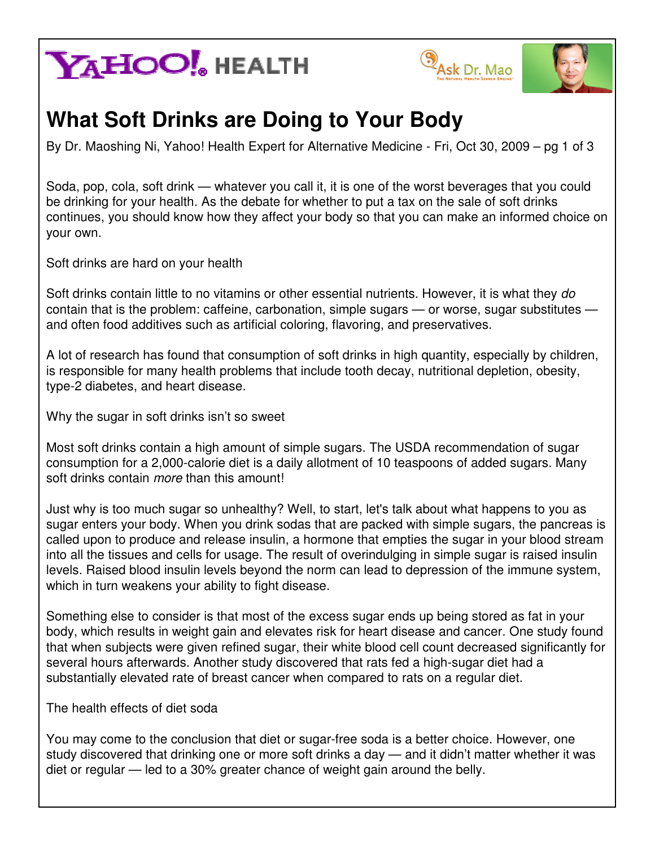# **YAHOO!** HEALTH





### **What Soft Drinks are Doing to Your Body**

By Dr. Maoshing Ni, Yahoo! Health Expert for Alternative Medicine - Fri, Oct 30, 2009 – pg 1 of 3

Soda, pop, cola, soft drink — whatever you call it, it is one of the worst beverages that you could be drinking for your health. As the debate for whether to put a tax on the sale of soft drinks continues, you should know how they affect your body so that you can make an informed choice on your own.

Soft drinks are hard on your health

Soft drinks contain little to no vitamins or other essential nutrients. However, it is what they do contain that is the problem: caffeine, carbonation, simple sugars — or worse, sugar substitutes and often food additives such as artificial coloring, flavoring, and preservatives.

A lot of research has found that consumption of soft drinks in high quantity, especially by children, is responsible for many health problems that include tooth decay, nutritional depletion, obesity, type-2 diabetes, and heart disease.

Why the sugar in soft drinks isn't so sweet

Most soft drinks contain a high amount of simple sugars. The USDA recommendation of sugar consumption for a 2,000-calorie diet is a daily allotment of 10 teaspoons of added sugars. Many soft drinks contain more than this amount!

Just why is too much sugar so unhealthy? Well, to start, let's talk about what happens to you as sugar enters your body. When you drink sodas that are packed with simple sugars, the pancreas is called upon to produce and release insulin, a hormone that empties the sugar in your blood stream into all the tissues and cells for usage. The result of overindulging in simple sugar is raised insulin levels. Raised blood insulin levels beyond the norm can lead to depression of the immune system, which in turn weakens your ability to fight disease.

Something else to consider is that most of the excess sugar ends up being stored as fat in your body, which results in weight gain and elevates risk for heart disease and cancer. One study found that when subjects were given refined sugar, their white blood cell count decreased significantly for several hours afterwards. Another study discovered that rats fed a high-sugar diet had a substantially elevated rate of breast cancer when compared to rats on a regular diet.

The health effects of diet soda

You may come to the conclusion that diet or sugar-free soda is a better choice. However, one study discovered that drinking one or more soft drinks a day — and it didn't matter whether it was diet or regular — led to a 30% greater chance of weight gain around the belly.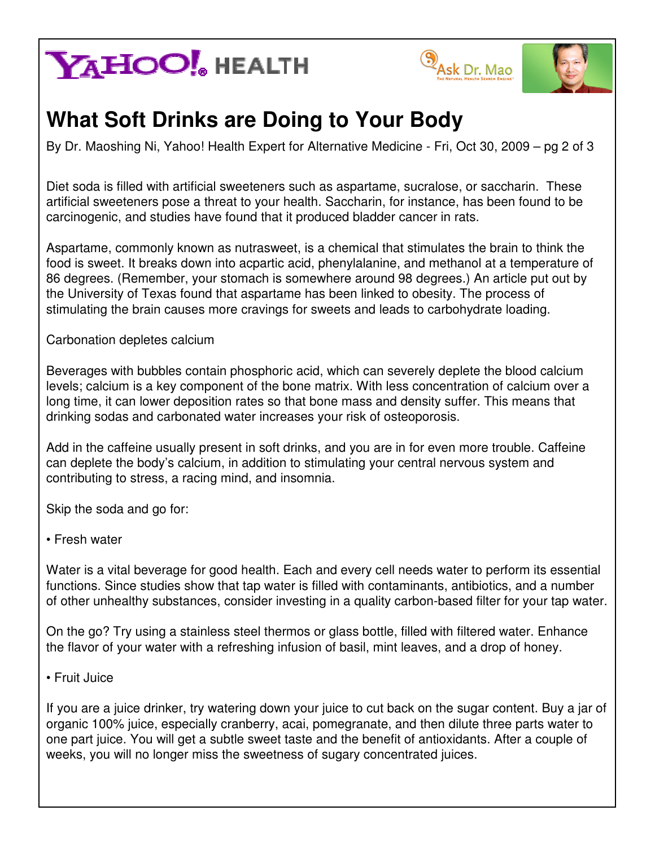# **YAHOO!** HEALTH





### **What Soft Drinks are Doing to Your Body**

By Dr. Maoshing Ni, Yahoo! Health Expert for Alternative Medicine - Fri, Oct 30, 2009 – pg 2 of 3

Diet soda is filled with artificial sweeteners such as aspartame, sucralose, or saccharin. These artificial sweeteners pose a threat to your health. Saccharin, for instance, has been found to be carcinogenic, and studies have found that it produced bladder cancer in rats.

Aspartame, commonly known as nutrasweet, is a chemical that stimulates the brain to think the food is sweet. It breaks down into acpartic acid, phenylalanine, and methanol at a temperature of 86 degrees. (Remember, your stomach is somewhere around 98 degrees.) An article put out by the University of Texas found that aspartame has been linked to obesity. The process of stimulating the brain causes more cravings for sweets and leads to carbohydrate loading.

Carbonation depletes calcium

Beverages with bubbles contain phosphoric acid, which can severely deplete the blood calcium levels; calcium is a key component of the bone matrix. With less concentration of calcium over a long time, it can lower deposition rates so that bone mass and density suffer. This means that drinking sodas and carbonated water increases your risk of osteoporosis.

Add in the caffeine usually present in soft drinks, and you are in for even more trouble. Caffeine can deplete the body's calcium, in addition to stimulating your central nervous system and contributing to stress, a racing mind, and insomnia.

Skip the soda and go for:

#### • Fresh water

Water is a vital beverage for good health. Each and every cell needs water to perform its essential functions. Since studies show that tap water is filled with contaminants, antibiotics, and a number of other unhealthy substances, consider investing in a quality carbon-based filter for your tap water.

On the go? Try using a stainless steel thermos or glass bottle, filled with filtered water. Enhance the flavor of your water with a refreshing infusion of basil, mint leaves, and a drop of honey.

• Fruit Juice

If you are a juice drinker, try watering down your juice to cut back on the sugar content. Buy a jar of organic 100% juice, especially cranberry, acai, pomegranate, and then dilute three parts water to one part juice. You will get a subtle sweet taste and the benefit of antioxidants. After a couple of weeks, you will no longer miss the sweetness of sugary concentrated juices.